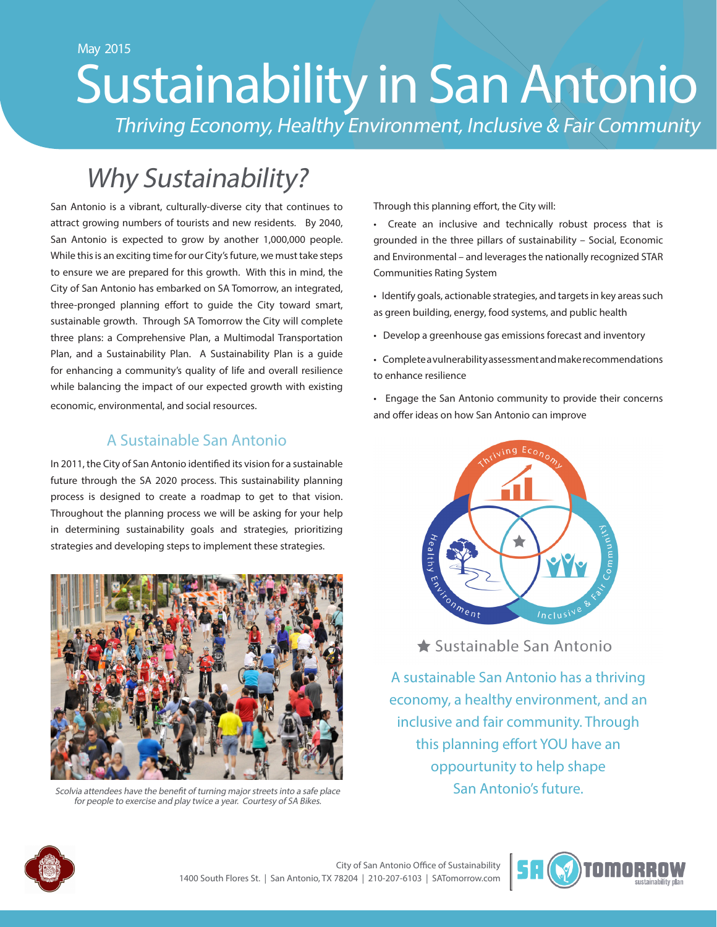# May 2015 Sustainability in San Antonio Thriving Economy, Healthy Environment, Inclusive & Fair Community

# Why Sustainability?

San Antonio is a vibrant, culturally-diverse city that continues to attract growing numbers of tourists and new residents. By 2040, San Antonio is expected to grow by another 1,000,000 people. While this is an exciting time for our City's future, we must take steps to ensure we are prepared for this growth. With this in mind, the City of San Antonio has embarked on SA Tomorrow, an integrated, three-pronged planning effort to guide the City toward smart, sustainable growth. Through SA Tomorrow the City will complete three plans: a Comprehensive Plan, a Multimodal Transportation Plan, and a Sustainability Plan. A Sustainability Plan is a guide for enhancing a community's quality of life and overall resilience while balancing the impact of our expected growth with existing economic, environmental, and social resources.

### A Sustainable San Antonio

In 2011, the City of San Antonio identified its vision for a sustainable future through the SA 2020 process. This sustainability planning process is designed to create a roadmap to get to that vision. Throughout the planning process we will be asking for your help in determining sustainability goals and strategies, prioritizing strategies and developing steps to implement these strategies.



for people to exercise and play twice a year. Courtesy of SA Bikes.

Through this planning effort, the City will:

- Create an inclusive and technically robust process that is grounded in the three pillars of sustainability – Social, Economic and Environmental – and leverages the nationally recognized STAR Communities Rating System
- Identify goals, actionable strategies, and targets in key areas such as green building, energy, food systems, and public health
- Develop a greenhouse gas emissions forecast and inventory
- Complete a vulnerability assessment and make recommendations to enhance resilience
- Engage the San Antonio community to provide their concerns and offer ideas on how San Antonio can improve



★ Sustainable San Antonio

A sustainable San Antonio has a thriving economy, a healthy environment, and an inclusive and fair community. Through this planning effort YOU have an oppourtunity to help shape Scolvia attendees have the benefit of turning major streets into a safe place San Antonio's future.